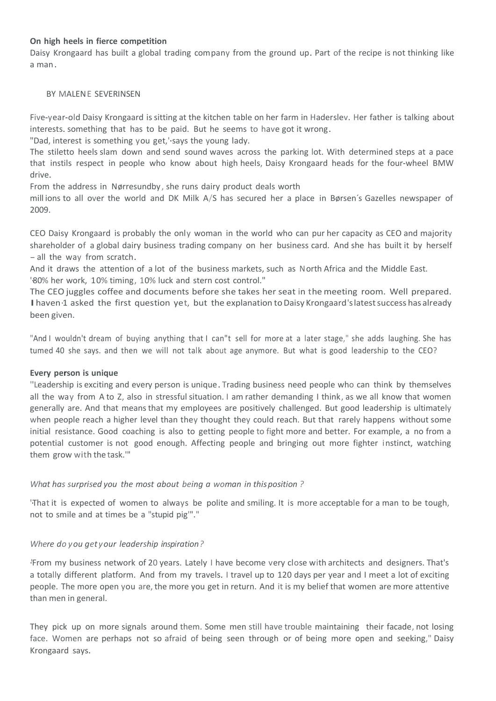# **On high heels in fierce competition**

Daisy Krongaard has built a global trading company from the ground up. Part of the recipe is not thinking like a man.

#### BY MALENE SEVERINSEN

Five-year-old Daisy Krongaard is sitting at the kitchen table on her farm in Haderslev. Her father is talking about interests. something that has to be paid. But he seems to have got it wrong.

"Dad, interest is something you get,'·says the young lady.

The stiletto heels slam down and send sound waves across the parking lot. With determined steps at a pace that instils respect in people who know about high heels, Daisy Krongaard heads for the four-wheel BMW drive.

From the address in Nørresundby, she runs dairy product deals worth

mill ions to all over the world and DK Milk A/S has secured her a place in Børsen´s Gazelles newspaper of 2009.

CEO Daisy Krongaard is probably the only woman in the world who can pur her capacity as CEO and majority shareholder of a global dairy business trading company on her business card. And she has built it by herself - all the way from scratch.

And it draws the attention of a lot of the business markets, such as North Africa and the Middle East. '80% her work, 10% timing, 10% luck and stern cost control."

The CEO juggles coffee and documents before she takes her seat in the meeting room. Well prepared. I haven 1 asked the first question yet, but the explanation to Daisy Krongaard's latest success has already been given.

"And I wouldn't dream of buying anything that I can"t sell for more at a later stage," she adds laughing. She has tumed 40 she says. and then we will not talk about age anymore. But what is good leadership to the CEO?

### **Every person is unique**

''Leadership is exciting and every person is unique. Trading business need people who can think by themselves all the way from A to Z, also in stressful situation. I am rather demanding I think, as we all know that women generally are. And that means that my employees are positively challenged. But good leadership is ultimately when people reach a higher level than they thought they could reach. But that rarely happens without some initial resistance. Good coaching is also to getting people to fight more and better. For example, a no from a potential customer is not good enough. Affecting people and bringing out more fighter instinct, watching them grow with the task.'"

### *What has surprised you the most about being a woman in thisposition ?*

'·That it is expected of women to always be polite and smiling. It is more acceptable for a man to be tough, not to smile and at times be a "stupid pig'"."

### *Where do you get your leadership inspiration?*

·'From my business network of 20 years. Lately I have become very close with architects and designers. That's a totally different platform. And from my travels. I travel up to 120 days per year and I meet a lot of exciting people. The more open you are, the more you get in return. And it is my belief that women are more attentive than men in general.

They pick up on more signals around them. Some men still have trouble maintaining their facade, not losing face. Women are perhaps not so afraid of being seen through or of being more open and seeking," Daisy Krongaard says.